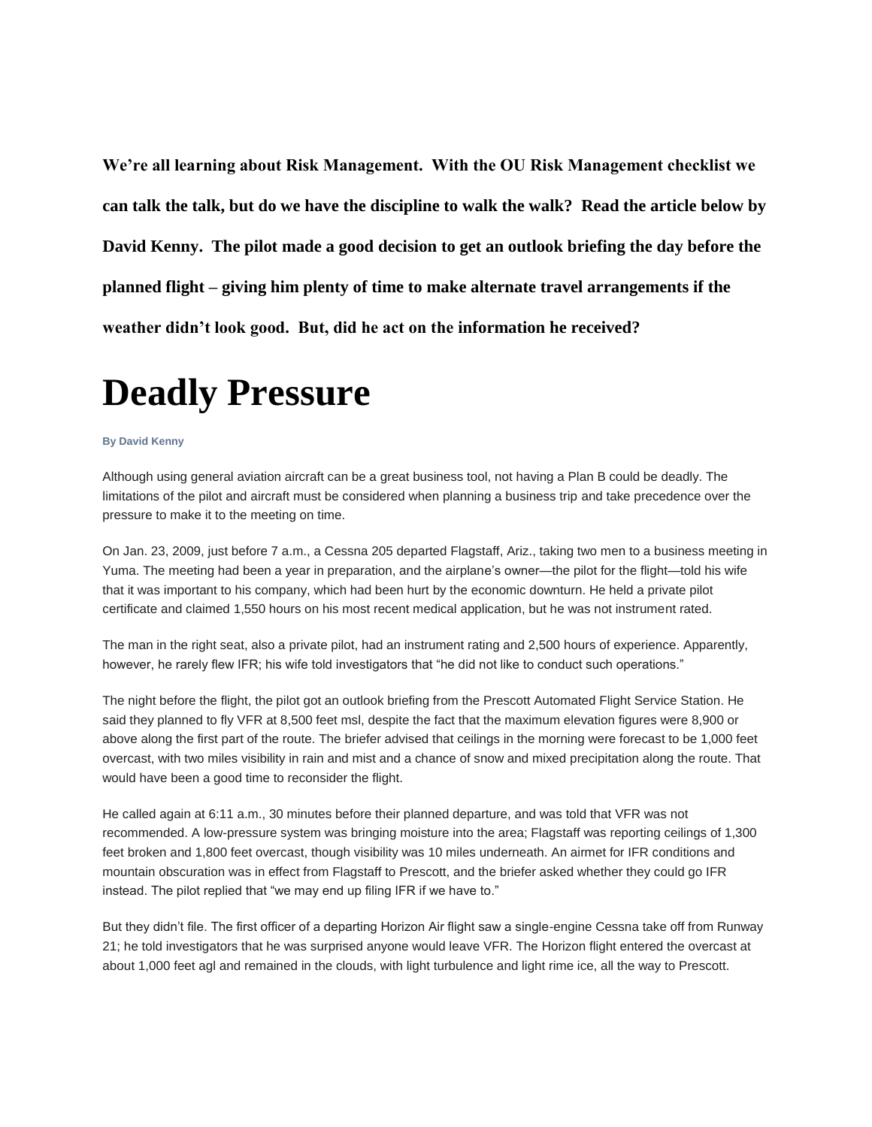**We're all learning about Risk Management. With the OU Risk Management checklist we can talk the talk, but do we have the discipline to walk the walk? Read the article below by David Kenny. The pilot made a good decision to get an outlook briefing the day before the planned flight – giving him plenty of time to make alternate travel arrangements if the weather didn't look good. But, did he act on the information he received?**

## **Deadly Pressure**

## **By David Kenny**

Although using general aviation aircraft can be a great business tool, not having a Plan B could be deadly. The limitations of the pilot and aircraft must be considered when planning a business trip and take precedence over the pressure to make it to the meeting on time.

On Jan. 23, 2009, just before 7 a.m., a Cessna 205 departed Flagstaff, Ariz., taking two men to a business meeting in Yuma. The meeting had been a year in preparation, and the airplane's owner—the pilot for the flight—told his wife that it was important to his company, which had been hurt by the economic downturn. He held a private pilot certificate and claimed 1,550 hours on his most recent medical application, but he was not instrument rated.

The man in the right seat, also a private pilot, had an instrument rating and 2,500 hours of experience. Apparently, however, he rarely flew IFR; his wife told investigators that "he did not like to conduct such operations."

The night before the flight, the pilot got an outlook briefing from the Prescott Automated Flight Service Station. He said they planned to fly VFR at 8,500 feet msl, despite the fact that the maximum elevation figures were 8,900 or above along the first part of the route. The briefer advised that ceilings in the morning were forecast to be 1,000 feet overcast, with two miles visibility in rain and mist and a chance of snow and mixed precipitation along the route. That would have been a good time to reconsider the flight.

He called again at 6:11 a.m., 30 minutes before their planned departure, and was told that VFR was not recommended. A low-pressure system was bringing moisture into the area; Flagstaff was reporting ceilings of 1,300 feet broken and 1,800 feet overcast, though visibility was 10 miles underneath. An airmet for IFR conditions and mountain obscuration was in effect from Flagstaff to Prescott, and the briefer asked whether they could go IFR instead. The pilot replied that "we may end up filing IFR if we have to."

But they didn't file. The first officer of a departing Horizon Air flight saw a single-engine Cessna take off from Runway 21; he told investigators that he was surprised anyone would leave VFR. The Horizon flight entered the overcast at about 1,000 feet agl and remained in the clouds, with light turbulence and light rime ice, all the way to Prescott.